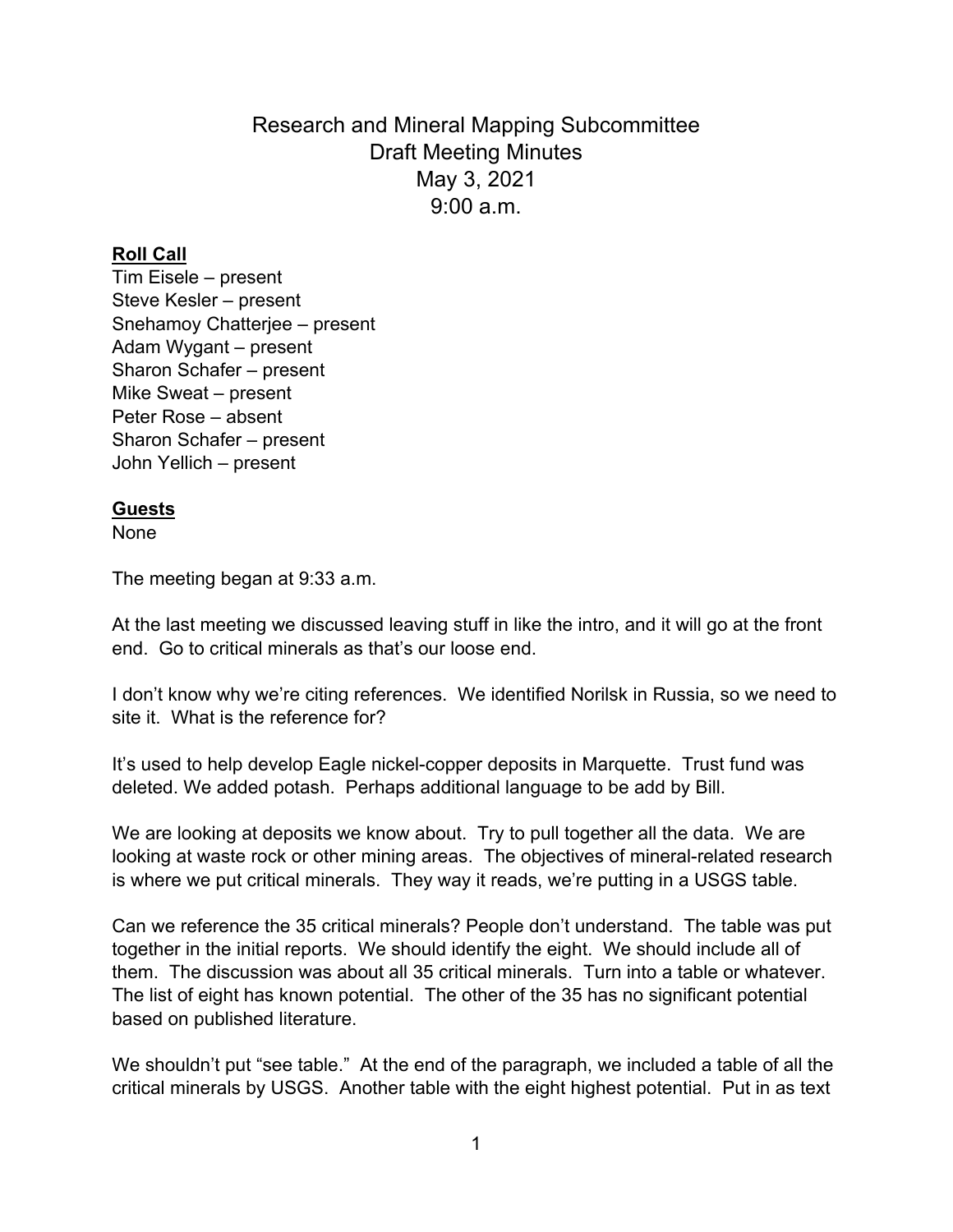Research and Mineral Mapping Subcommittee Draft Meeting Minutes May 3, 2021  $9.00 a m$ 

## **Roll Call**

Tim Eisele – present Steve Kesler – present Snehamoy Chatterjee – present Adam Wygant – present Sharon Schafer – present Mike Sweat – present Peter Rose – absent Sharon Schafer – present John Yellich – present

## **Guests**

None

The meeting began at 9:33 a.m.

At the last meeting we discussed leaving stuff in like the intro, and it will go at the front end. Go to critical minerals as that's our loose end.

I don't know why we're citing references. We identified Norilsk in Russia, so we need to site it. What is the reference for?

It's used to help develop Eagle nickel-copper deposits in Marquette. Trust fund was deleted. We added potash. Perhaps additional language to be add by Bill.

We are looking at deposits we know about. Try to pull together all the data. We are looking at waste rock or other mining areas. The objectives of mineral-related research is where we put critical minerals. They way it reads, we're putting in a USGS table.

Can we reference the 35 critical minerals? People don't understand. The table was put together in the initial reports. We should identify the eight. We should include all of them. The discussion was about all 35 critical minerals. Turn into a table or whatever. The list of eight has known potential. The other of the 35 has no significant potential based on published literature.

We shouldn't put "see table." At the end of the paragraph, we included a table of all the critical minerals by USGS. Another table with the eight highest potential. Put in as text